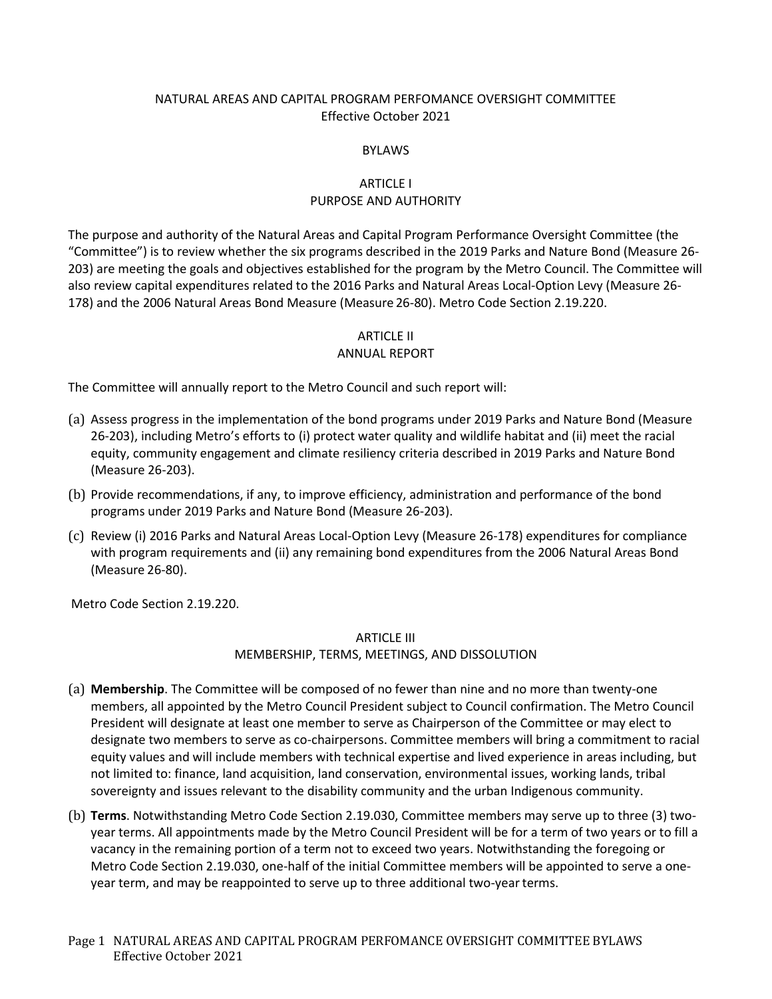### NATURAL AREAS AND CAPITAL PROGRAM PERFOMANCE OVERSIGHT COMMITTEE Effective October 2021

#### BYLAWS

### ARTICLE I PURPOSE AND AUTHORITY

The purpose and authority of the Natural Areas and Capital Program Performance Oversight Committee (the "Committee") is to review whether the six programs described in the 2019 Parks and Nature Bond (Measure 26- 203) are meeting the goals and objectives established for the program by the Metro Council. The Committee will also review capital expenditures related to the 2016 Parks and Natural Areas Local-Option Levy (Measure 26- 178) and the 2006 Natural Areas Bond Measure (Measure 26-80). Metro Code Section 2.19.220.

### ARTICLE II

### ANNUAL REPORT

The Committee will annually report to the Metro Council and such report will:

- (a) Assess progress in the implementation of the bond programs under 2019 Parks and Nature Bond (Measure 26-203), including Metro's efforts to (i) protect water quality and wildlife habitat and (ii) meet the racial equity, community engagement and climate resiliency criteria described in 2019 Parks and Nature Bond (Measure 26-203).
- (b) Provide recommendations, if any, to improve efficiency, administration and performance of the bond programs under 2019 Parks and Nature Bond (Measure 26-203).
- (c) Review (i) 2016 Parks and Natural Areas Local-Option Levy (Measure 26-178) expenditures for compliance with program requirements and (ii) any remaining bond expenditures from the 2006 Natural Areas Bond (Measure 26-80).

Metro Code Section 2.19.220.

### ARTICLE III

### MEMBERSHIP, TERMS, MEETINGS, AND DISSOLUTION

- (a) **Membership**. The Committee will be composed of no fewer than nine and no more than twenty-one members, all appointed by the Metro Council President subject to Council confirmation. The Metro Council President will designate at least one member to serve as Chairperson of the Committee or may elect to designate two members to serve as co-chairpersons. Committee members will bring a commitment to racial equity values and will include members with technical expertise and lived experience in areas including, but not limited to: finance, land acquisition, land conservation, environmental issues, working lands, tribal sovereignty and issues relevant to the disability community and the urban Indigenous community.
- (b) **Terms**. Notwithstanding Metro Code Section 2.19.030, Committee members may serve up to three (3) twoyear terms. All appointments made by the Metro Council President will be for a term of two years or to fill a vacancy in the remaining portion of a term not to exceed two years. Notwithstanding the foregoing or Metro Code Section 2.19.030, one-half of the initial Committee members will be appointed to serve a oneyear term, and may be reappointed to serve up to three additional two-yearterms.
- Page 1 NATURAL AREAS AND CAPITAL PROGRAM PERFOMANCE OVERSIGHT COMMITTEE BYLAWS Effective October 2021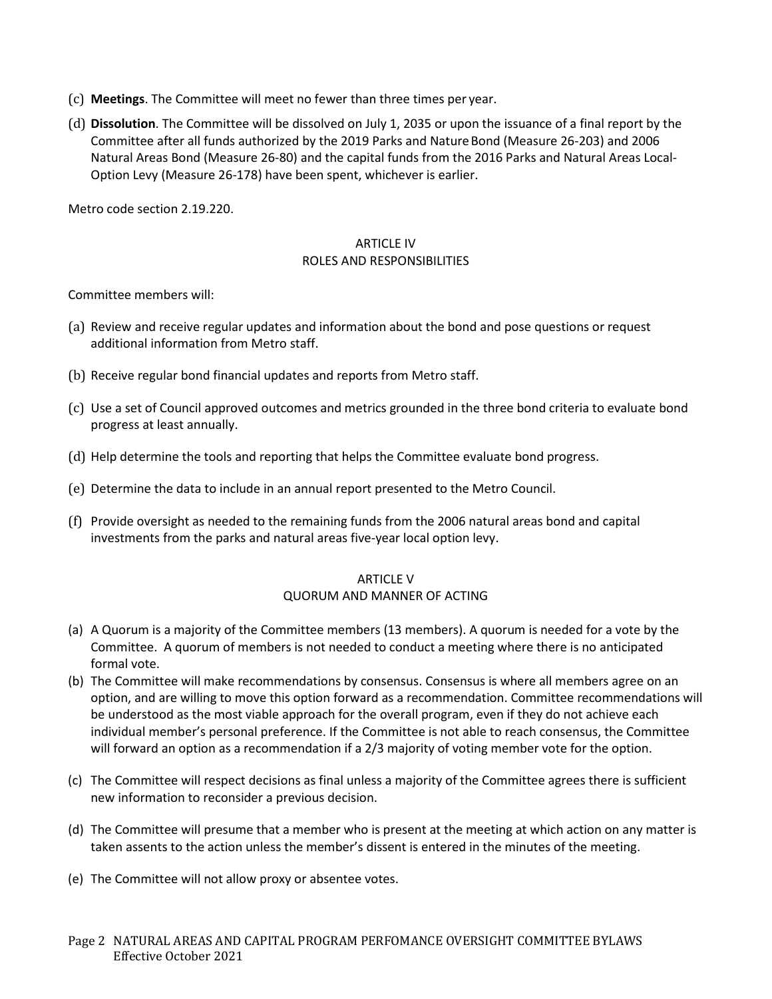- (c) **Meetings**. The Committee will meet no fewer than three times per year.
- (d) **Dissolution**. The Committee will be dissolved on July 1, 2035 or upon the issuance of a final report by the Committee after all funds authorized by the 2019 Parks and NatureBond (Measure 26-203) and 2006 Natural Areas Bond (Measure 26-80) and the capital funds from the 2016 Parks and Natural Areas Local-Option Levy (Measure 26-178) have been spent, whichever is earlier.

Metro code section 2.19.220.

#### ARTICLE IV ROLES AND RESPONSIBILITIES

Committee members will:

- (a) Review and receive regular updates and information about the bond and pose questions or request additional information from Metro staff.
- (b) Receive regular bond financial updates and reports from Metro staff.
- (c) Use a set of Council approved outcomes and metrics grounded in the three bond criteria to evaluate bond progress at least annually.
- (d) Help determine the tools and reporting that helps the Committee evaluate bond progress.
- (e) Determine the data to include in an annual report presented to the Metro Council.
- (f) Provide oversight as needed to the remaining funds from the 2006 natural areas bond and capital investments from the parks and natural areas five-year local option levy.

# ARTICLE V

### QUORUM AND MANNER OF ACTING

- (a) A Quorum is a majority of the Committee members (13 members). A quorum is needed for a vote by the Committee. A quorum of members is not needed to conduct a meeting where there is no anticipated formal vote.
- (b) The Committee will make recommendations by consensus. Consensus is where all members agree on an option, and are willing to move this option forward as a recommendation. Committee recommendations will be understood as the most viable approach for the overall program, even if they do not achieve each individual member's personal preference. If the Committee is not able to reach consensus, the Committee will forward an option as a recommendation if a 2/3 majority of voting member vote for the option.
- (c) The Committee will respect decisions as final unless a majority of the Committee agrees there is sufficient new information to reconsider a previous decision.
- (d) The Committee will presume that a member who is present at the meeting at which action on any matter is taken assents to the action unless the member's dissent is entered in the minutes of the meeting.
- (e) The Committee will not allow proxy or absentee votes.
- Page 2 NATURAL AREAS AND CAPITAL PROGRAM PERFOMANCE OVERSIGHT COMMITTEE BYLAWS Effective October 2021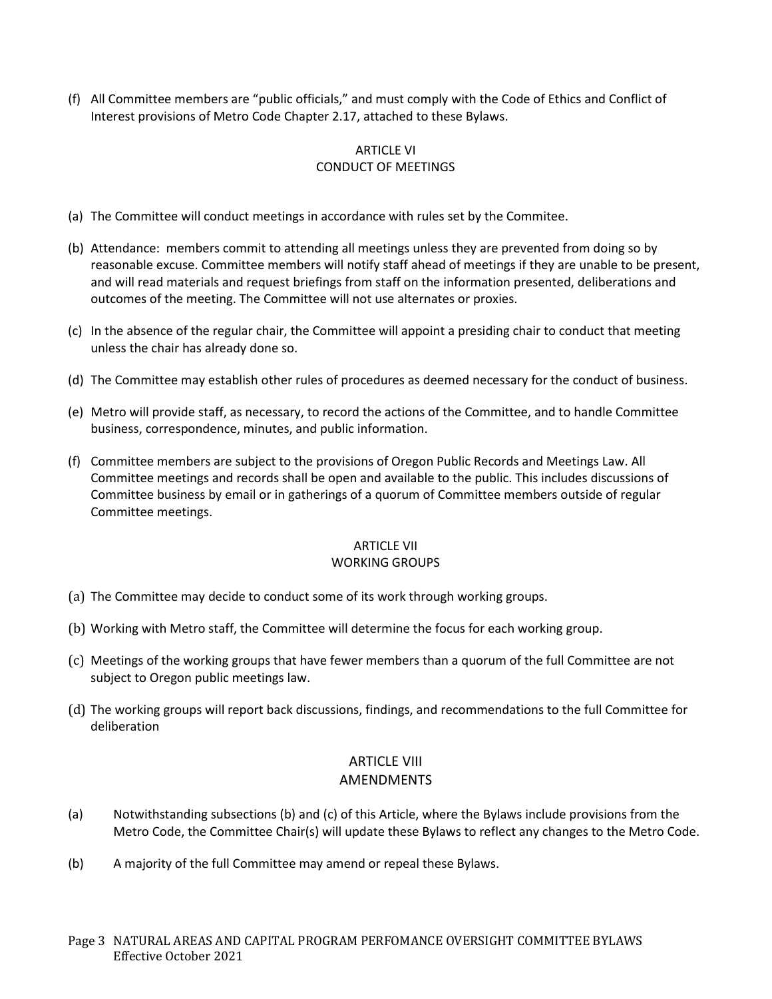(f) All Committee members are "public officials," and must comply with the Code of Ethics and Conflict of Interest provisions of Metro Code Chapter 2.17, attached to these Bylaws.

### ARTICLE VI CONDUCT OF MEETINGS

- (a) The Committee will conduct meetings in accordance with rules set by the Commitee.
- (b) Attendance: members commit to attending all meetings unless they are prevented from doing so by reasonable excuse. Committee members will notify staff ahead of meetings if they are unable to be present, and will read materials and request briefings from staff on the information presented, deliberations and outcomes of the meeting. The Committee will not use alternates or proxies.
- (c) In the absence of the regular chair, the Committee will appoint a presiding chair to conduct that meeting unless the chair has already done so.
- (d) The Committee may establish other rules of procedures as deemed necessary for the conduct of business.
- (e) Metro will provide staff, as necessary, to record the actions of the Committee, and to handle Committee business, correspondence, minutes, and public information.
- (f) Committee members are subject to the provisions of Oregon Public Records and Meetings Law. All Committee meetings and records shall be open and available to the public. This includes discussions of Committee business by email or in gatherings of a quorum of Committee members outside of regular Committee meetings.

#### ARTICLE VII WORKING GROUPS

- (a) The Committee may decide to conduct some of its work through working groups.
- (b) Working with Metro staff, the Committee will determine the focus for each working group.
- (c) Meetings of the working groups that have fewer members than a quorum of the full Committee are not subject to Oregon public meetings law.
- (d) The working groups will report back discussions, findings, and recommendations to the full Committee for deliberation

### ARTICLE VIII AMENDMENTS

- (a) Notwithstanding subsections (b) and (c) of this Article, where the Bylaws include provisions from the Metro Code, the Committee Chair(s) will update these Bylaws to reflect any changes to the Metro Code.
- (b) A majority of the full Committee may amend or repeal these Bylaws.
- Page 3 NATURAL AREAS AND CAPITAL PROGRAM PERFOMANCE OVERSIGHT COMMITTEE BYLAWS Effective October 2021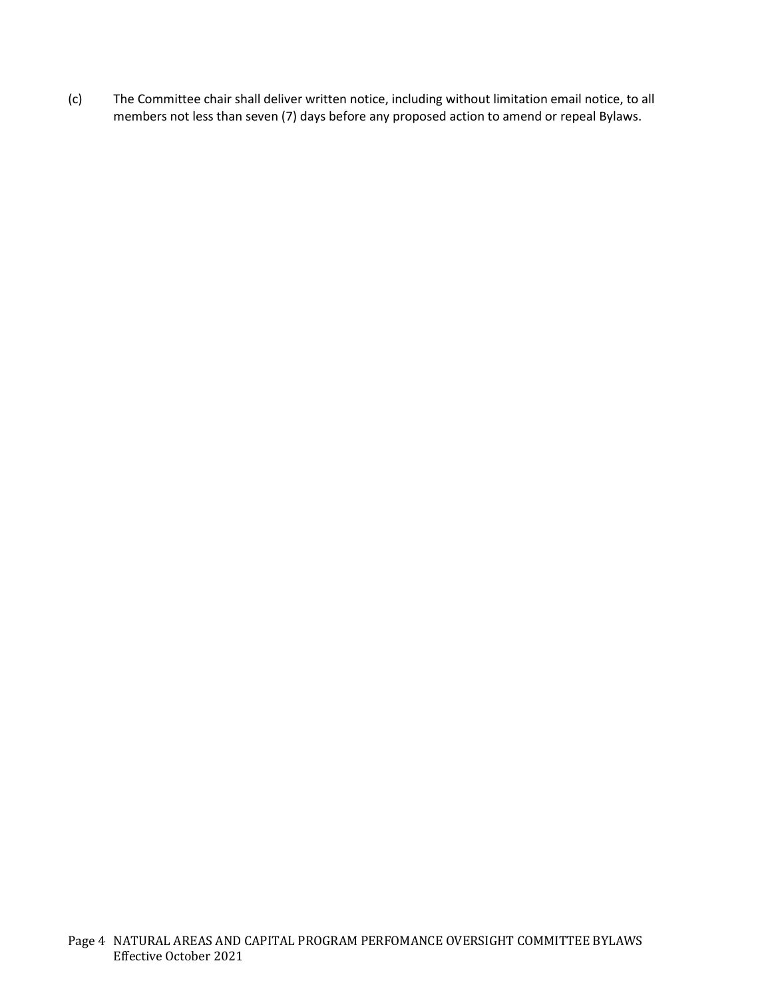(c) The Committee chair shall deliver written notice, including without limitation email notice, to all members not less than seven (7) days before any proposed action to amend or repeal Bylaws.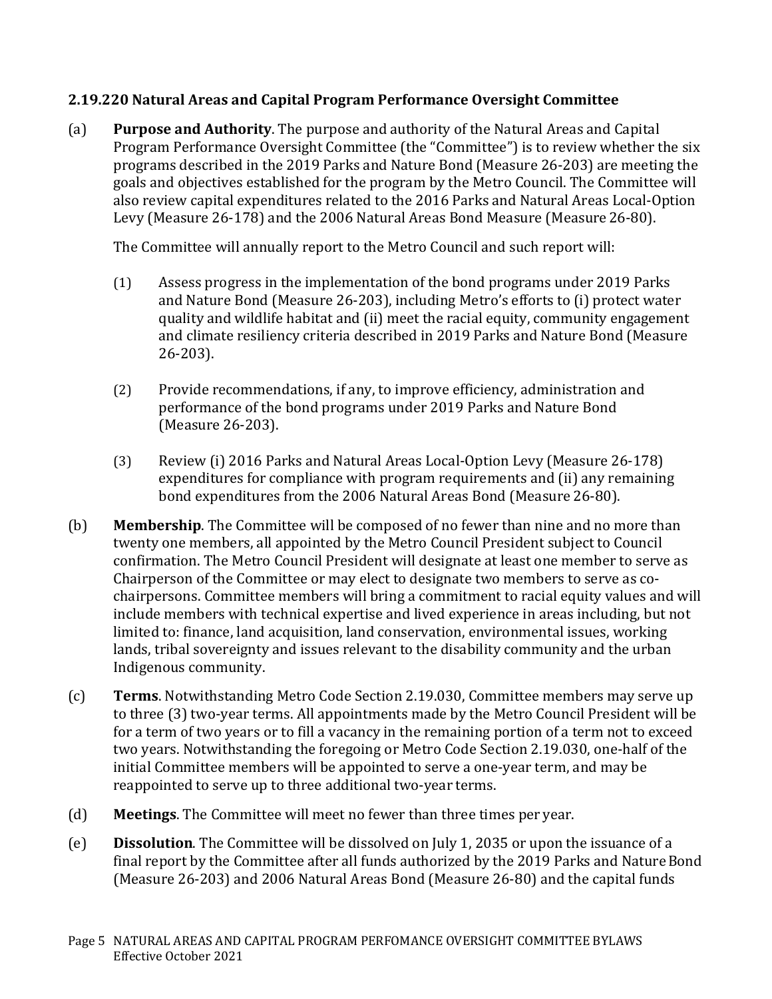## **2.19.220 Natural Areas and Capital Program Performance Oversight Committee**

(a) **Purpose and Authority**. The purpose and authority of the Natural Areas and Capital Program Performance Oversight Committee (the "Committee") is to review whether the six programs described in the 2019 Parks and Nature Bond (Measure 26-203) are meeting the goals and objectives established for the program by the Metro Council. The Committee will also review capital expenditures related to the 2016 Parks and Natural Areas Local-Option Levy (Measure 26-178) and the 2006 Natural Areas Bond Measure (Measure 26-80).

The Committee will annually report to the Metro Council and such report will:

- (1) Assess progress in the implementation of the bond programs under 2019 Parks and Nature Bond (Measure 26-203), including Metro's efforts to (i) protect water quality and wildlife habitat and (ii) meet the racial equity, community engagement and climate resiliency criteria described in 2019 Parks and Nature Bond (Measure 26-203).
- (2) Provide recommendations, if any, to improve efficiency, administration and performance of the bond programs under 2019 Parks and Nature Bond (Measure 26-203).
- (3) Review (i) 2016 Parks and Natural Areas Local-Option Levy (Measure 26-178) expenditures for compliance with program requirements and (ii) any remaining bond expenditures from the 2006 Natural Areas Bond (Measure 26-80).
- (b) **Membership**. The Committee will be composed of no fewer than nine and no more than twenty one members, all appointed by the Metro Council President subject to Council confirmation. The Metro Council President will designate at least one member to serve as Chairperson of the Committee or may elect to designate two members to serve as cochairpersons. Committee members will bring a commitment to racial equity values and will include members with technical expertise and lived experience in areas including, but not limited to: finance, land acquisition, land conservation, environmental issues, working lands, tribal sovereignty and issues relevant to the disability community and the urban Indigenous community.
- (c) **Terms**. Notwithstanding Metro Code Section 2.19.030, Committee members may serve up to three (3) two-year terms. All appointments made by the Metro Council President will be for a term of two years or to fill a vacancy in the remaining portion of a term not to exceed two years. Notwithstanding the foregoing or Metro Code Section 2.19.030, one-half of the initial Committee members will be appointed to serve a one-year term, and may be reappointed to serve up to three additional two-year terms.
- (d) **Meetings**. The Committee will meet no fewer than three times per year.
- (e) **Dissolution**. The Committee will be dissolved on July 1, 2035 or upon the issuance of a final report by the Committee after all funds authorized by the 2019 Parks and NatureBond (Measure 26-203) and 2006 Natural Areas Bond (Measure 26-80) and the capital funds
- Page 5 NATURAL AREAS AND CAPITAL PROGRAM PERFOMANCE OVERSIGHT COMMITTEE BYLAWS Effective October 2021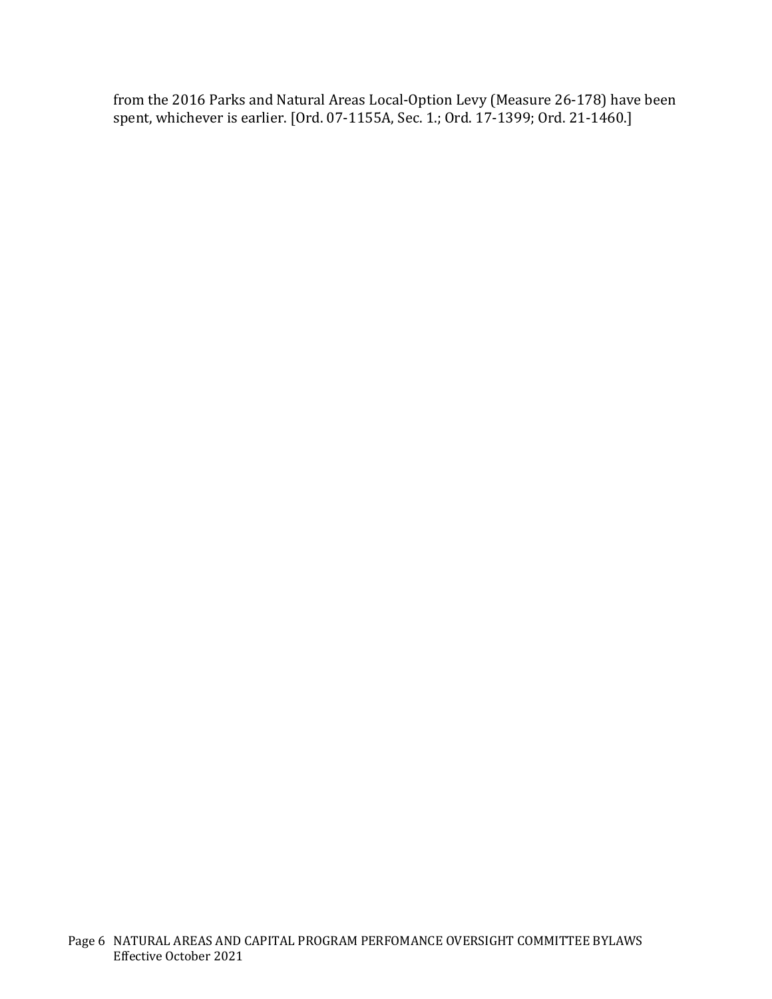from the 2016 Parks and Natural Areas Local-Option Levy (Measure 26-178) have been spent, whichever is earlier. [Ord. 07-1155A, Sec. 1.; Ord. 17-1399; Ord. 21-1460.]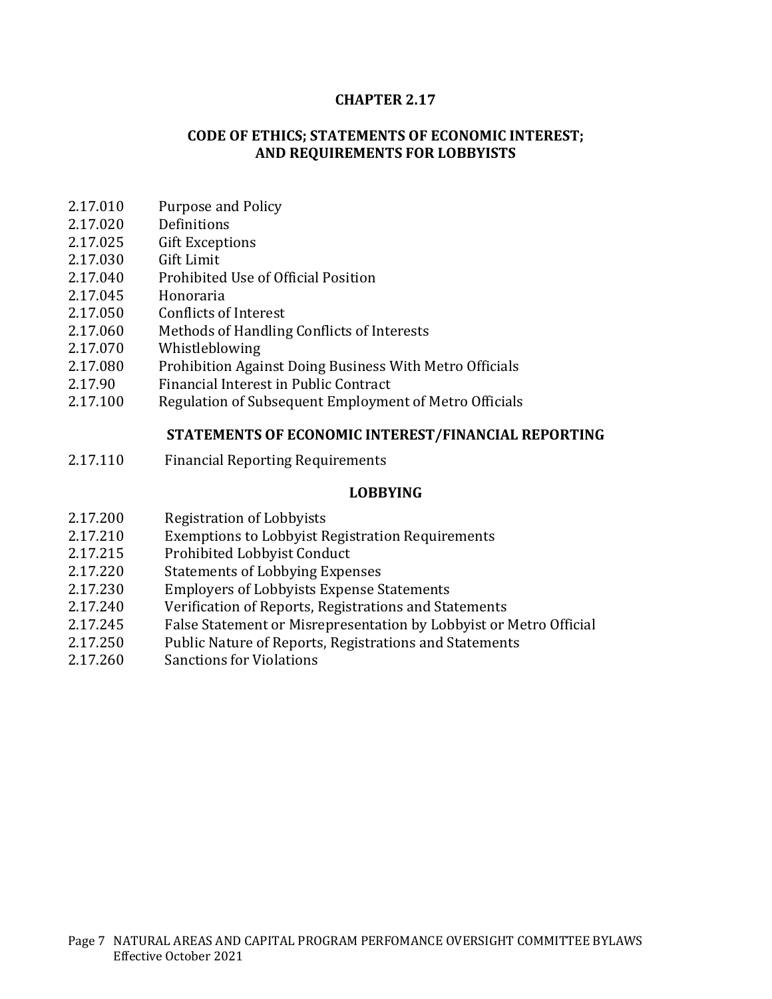### **CHAPTER 2.17**

### **CODE OF ETHICS; STATEMENTS OF ECONOMIC INTEREST; AND REQUIREMENTS FOR LOBBYISTS**

- 2.17.010 Purpose and Policy<br>2.17.020 Definitions
- 2.17.020 Definitions<br>2.17.025 Gift Excepti
- 2.17.025 Gift Exceptions<br>2.17.030 Gift Limit
- 2.17.030 Gift Limit<br>2.17.040 Prohibited
- 2.17.040 Prohibited Use of Official Position<br>2.17.045 Honoraria
- 2.17.045 Honoraria<br>2.17.050 Conflicts of
- 2.17.050 Conflicts of Interest<br>2.17.060 Methods of Handling
- 2.17.060 Methods of Handling Conflicts of Interests<br>2.17.070 Whistleblowing
- 2.17.070 Whistleblowing<br>2.17.080 Prohibition Agai
- 2.17.080 Prohibition Against Doing Business With Metro Officials<br>2.17.90 Financial Interest in Public Contract
- 2.17.90 Financial Interest in Public Contract<br>2.17.100 Regulation of Subsequent Employme
- Regulation of Subsequent Employment of Metro Officials

### **STATEMENTS OF ECONOMIC INTEREST/FINANCIAL REPORTING**

2.17.110 Financial Reporting Requirements

### **LOBBYING**

- 2.17.200 Registration of Lobbyists<br>2.17.210 Exemptions to Lobbyist R
- 2.17.210 Exemptions to Lobbyist Registration Requirements<br>2.17.215 Prohibited Lobbyist Conduct
- 2.17.215 Prohibited Lobbyist Conduct<br>2.17.220 Statements of Lobbying Expe
- 2.17.220 Statements of Lobbying Expenses<br>2.17.230 Employers of Lobbyists Expense S
- 2.17.230 Employers of Lobbyists Expense Statements<br>2.17.240 Verification of Reports. Registrations and Sta
- 2.17.240 Verification of Reports, Registrations and Statements<br>2.17.245 False Statement or Misrepresentation by Lobbyist or
- 2.17.245 False Statement or Misrepresentation by Lobbyist or Metro Official<br>2.17.250 Public Nature of Reports. Registrations and Statements
- 2.17.250 Public Nature of Reports, Registrations and Statements<br>2.17.260 Sanctions for Violations
- Sanctions for Violations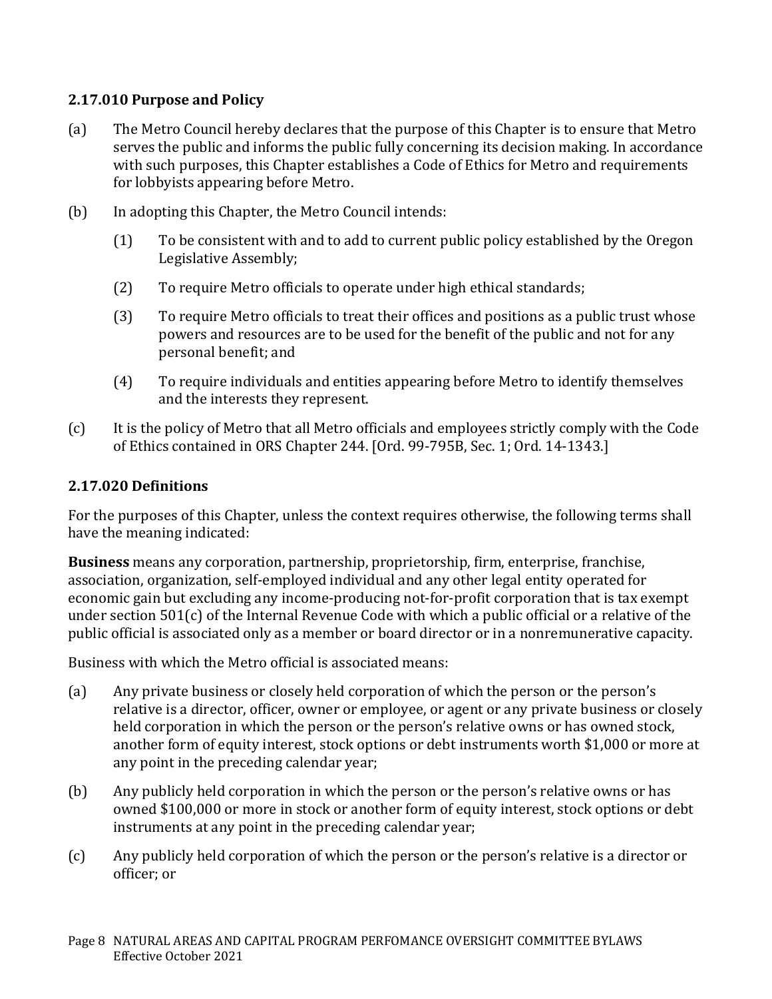## **2.17.010 Purpose and Policy**

- (a) The Metro Council hereby declares that the purpose of this Chapter is to ensure that Metro serves the public and informs the public fully concerning its decision making. In accordance with such purposes, this Chapter establishes a Code of Ethics for Metro and requirements for lobbyists appearing before Metro.
- (b) In adopting this Chapter, the Metro Council intends:
	- (1) To be consistent with and to add to current public policy established by the Oregon Legislative Assembly;
	- (2) To require Metro officials to operate under high ethical standards;
	- (3) To require Metro officials to treat their offices and positions as a public trust whose powers and resources are to be used for the benefit of the public and not for any personal benefit; and
	- (4) To require individuals and entities appearing before Metro to identify themselves and the interests they represent.
- (c) It is the policy of Metro that all Metro officials and employees strictly comply with the Code of Ethics contained in ORS Chapter 244. [Ord. 99-795B, Sec. 1; Ord. 14-1343.]

## **2.17.020 Definitions**

For the purposes of this Chapter, unless the context requires otherwise, the following terms shall have the meaning indicated:

**Business** means any corporation, partnership, proprietorship, firm, enterprise, franchise, association, organization, self-employed individual and any other legal entity operated for economic gain but excluding any income-producing not-for-profit corporation that is tax exempt under section 501(c) of the Internal Revenue Code with which a public official or a relative of the public official is associated only as a member or board director or in a nonremunerative capacity.

Business with which the Metro official is associated means:

- (a) Any private business or closely held corporation of which the person or the person's relative is a director, officer, owner or employee, or agent or any private business or closely held corporation in which the person or the person's relative owns or has owned stock, another form of equity interest, stock options or debt instruments worth \$1,000 or more at any point in the preceding calendar year;
- (b) Any publicly held corporation in which the person or the person's relative owns or has owned \$100,000 or more in stock or another form of equity interest, stock options or debt instruments at any point in the preceding calendar year;
- (c) Any publicly held corporation of which the person or the person's relative is a director or officer; or
- Page 8 NATURAL AREAS AND CAPITAL PROGRAM PERFOMANCE OVERSIGHT COMMITTEE BYLAWS Effective October 2021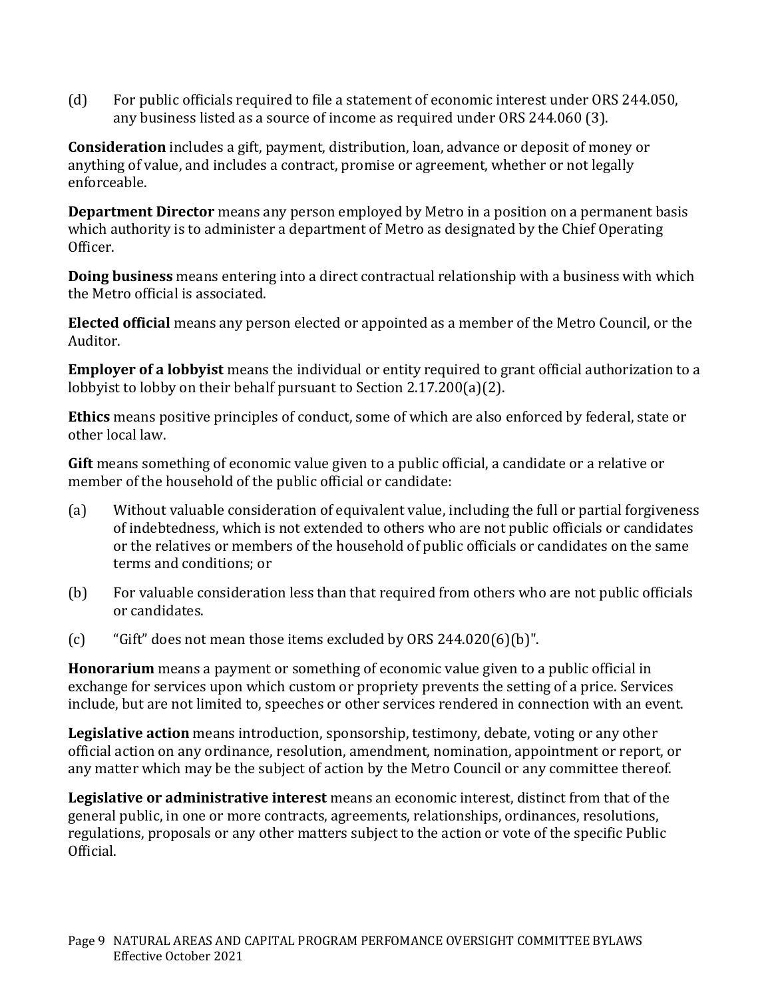(d) For public officials required to file a statement of economic interest under ORS 244.050, any business listed as a source of income as required under ORS 244.060 (3).

**Consideration** includes a gift, payment, distribution, loan, advance or deposit of money or anything of value, and includes a contract, promise or agreement, whether or not legally enforceable.

**Department Director** means any person employed by Metro in a position on a permanent basis which authority is to administer a department of Metro as designated by the Chief Operating Officer.

**Doing business** means entering into a direct contractual relationship with a business with which the Metro official is associated.

**Elected official** means any person elected or appointed as a member of the Metro Council, or the Auditor.

**Employer of a lobbyist** means the individual or entity required to grant official authorization to a lobbyist to lobby on their behalf pursuant to Section 2.17.200(a)(2).

**Ethics** means positive principles of conduct, some of which are also enforced by federal, state or other local law.

**Gift** means something of economic value given to a public official, a candidate or a relative or member of the household of the public official or candidate:

- (a) Without valuable consideration of equivalent value, including the full or partial forgiveness of indebtedness, which is not extended to others who are not public officials or candidates or the relatives or members of the household of public officials or candidates on the same terms and conditions; or
- (b) For valuable consideration less than that required from others who are not public officials or candidates.
- (c) "Gift" does not mean those items excluded by ORS 244.020(6)(b)".

**Honorarium** means a payment or something of economic value given to a public official in exchange for services upon which custom or propriety prevents the setting of a price. Services include, but are not limited to, speeches or other services rendered in connection with an event.

**Legislative action** means introduction, sponsorship, testimony, debate, voting or any other official action on any ordinance, resolution, amendment, nomination, appointment or report, or any matter which may be the subject of action by the Metro Council or any committee thereof.

**Legislative or administrative interest** means an economic interest, distinct from that of the general public, in one or more contracts, agreements, relationships, ordinances, resolutions, regulations, proposals or any other matters subject to the action or vote of the specific Public Official.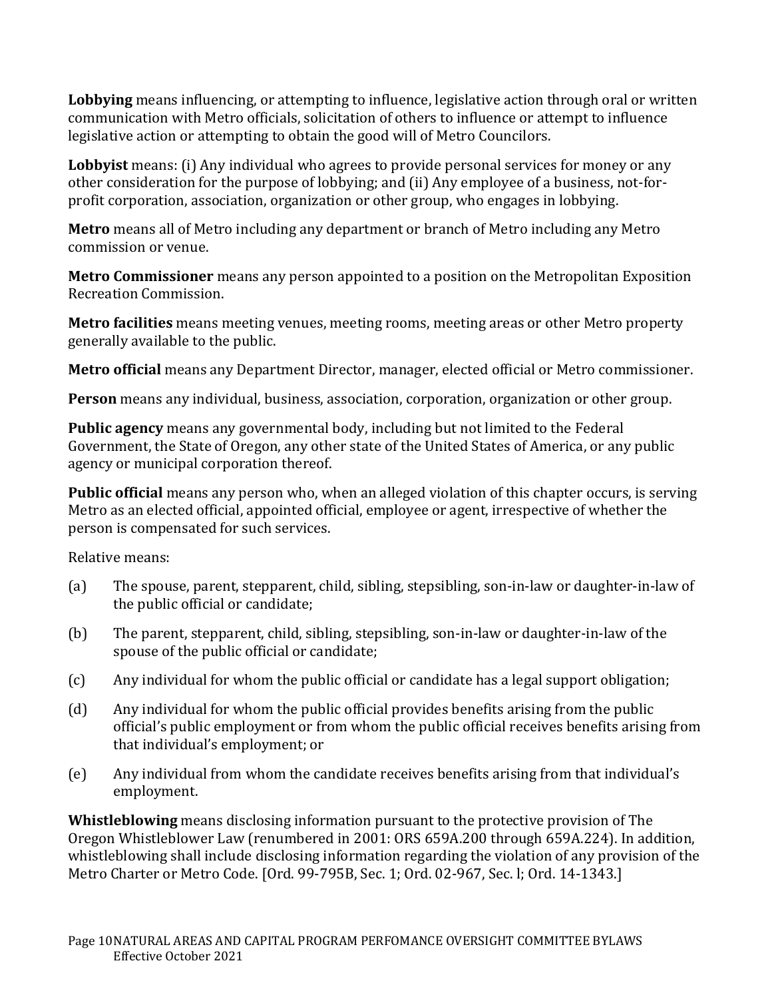**Lobbying** means influencing, or attempting to influence, legislative action through oral or written communication with Metro officials, solicitation of others to influence or attempt to influence legislative action or attempting to obtain the good will of Metro Councilors.

**Lobbyist** means: (i) Any individual who agrees to provide personal services for money or any other consideration for the purpose of lobbying; and (ii) Any employee of a business, not-forprofit corporation, association, organization or other group, who engages in lobbying.

**Metro** means all of Metro including any department or branch of Metro including any Metro commission or venue.

**Metro Commissioner** means any person appointed to a position on the Metropolitan Exposition Recreation Commission.

**Metro facilities** means meeting venues, meeting rooms, meeting areas or other Metro property generally available to the public.

**Metro official** means any Department Director, manager, elected official or Metro commissioner.

**Person** means any individual, business, association, corporation, organization or other group.

**Public agency** means any governmental body, including but not limited to the Federal Government, the State of Oregon, any other state of the United States of America, or any public agency or municipal corporation thereof.

**Public official** means any person who, when an alleged violation of this chapter occurs, is serving Metro as an elected official, appointed official, employee or agent, irrespective of whether the person is compensated for such services.

Relative means:

- (a) The spouse, parent, stepparent, child, sibling, stepsibling, son-in-law or daughter-in-law of the public official or candidate;
- (b) The parent, stepparent, child, sibling, stepsibling, son-in-law or daughter-in-law of the spouse of the public official or candidate;
- (c) Any individual for whom the public official or candidate has a legal support obligation;
- (d) Any individual for whom the public official provides benefits arising from the public official's public employment or from whom the public official receives benefits arising from that individual's employment; or
- (e) Any individual from whom the candidate receives benefits arising from that individual's employment.

**Whistleblowing** means disclosing information pursuant to the protective provision of The Oregon Whistleblower Law (renumbered in 2001: ORS 659A.200 through 659A.224). In addition, whistleblowing shall include disclosing information regarding the violation of any provision of the Metro Charter or Metro Code. [Ord. 99-795B, Sec. 1; Ord. 02-967, Sec. l; Ord. 14-1343.]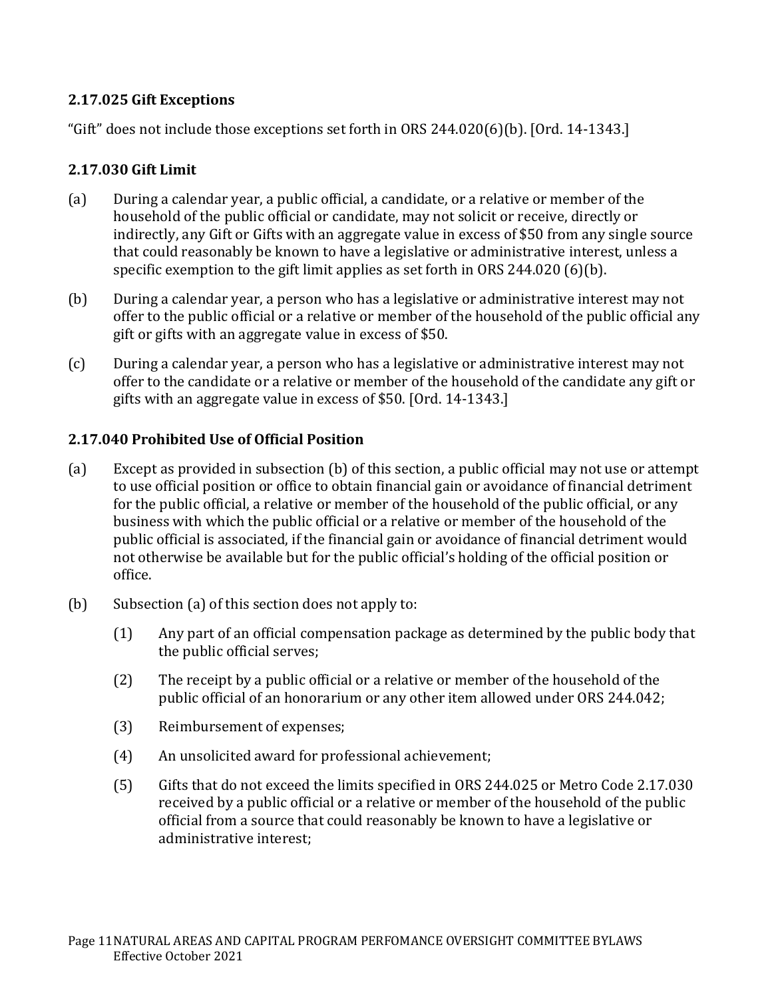## **2.17.025 Gift Exceptions**

"Gift" does not include those exceptions set forth in ORS 244.020(6)(b). [Ord. 14-1343.]

### **2.17.030 Gift Limit**

- (a) During a calendar year, a public official, a candidate, or a relative or member of the household of the public official or candidate, may not solicit or receive, directly or indirectly, any Gift or Gifts with an aggregate value in excess of \$50 from any single source that could reasonably be known to have a legislative or administrative interest, unless a specific exemption to the gift limit applies as set forth in ORS 244.020 (6)(b).
- (b) During a calendar year, a person who has a legislative or administrative interest may not offer to the public official or a relative or member of the household of the public official any gift or gifts with an aggregate value in excess of \$50.
- (c) During a calendar year, a person who has a legislative or administrative interest may not offer to the candidate or a relative or member of the household of the candidate any gift or gifts with an aggregate value in excess of \$50. [Ord. 14-1343.]

## **2.17.040 Prohibited Use of Official Position**

- (a) Except as provided in subsection (b) of this section, a public official may not use or attempt to use official position or office to obtain financial gain or avoidance of financial detriment for the public official, a relative or member of the household of the public official, or any business with which the public official or a relative or member of the household of the public official is associated, if the financial gain or avoidance of financial detriment would not otherwise be available but for the public official's holding of the official position or office.
- (b) Subsection (a) of this section does not apply to:
	- (1) Any part of an official compensation package as determined by the public body that the public official serves;
	- (2) The receipt by a public official or a relative or member of the household of the public official of an honorarium or any other item allowed under ORS 244.042;
	- (3) Reimbursement of expenses;
	- (4) An unsolicited award for professional achievement;
	- (5) Gifts that do not exceed the limits specified in ORS 244.025 or Metro Code 2.17.030 received by a public official or a relative or member of the household of the public official from a source that could reasonably be known to have a legislative or administrative interest;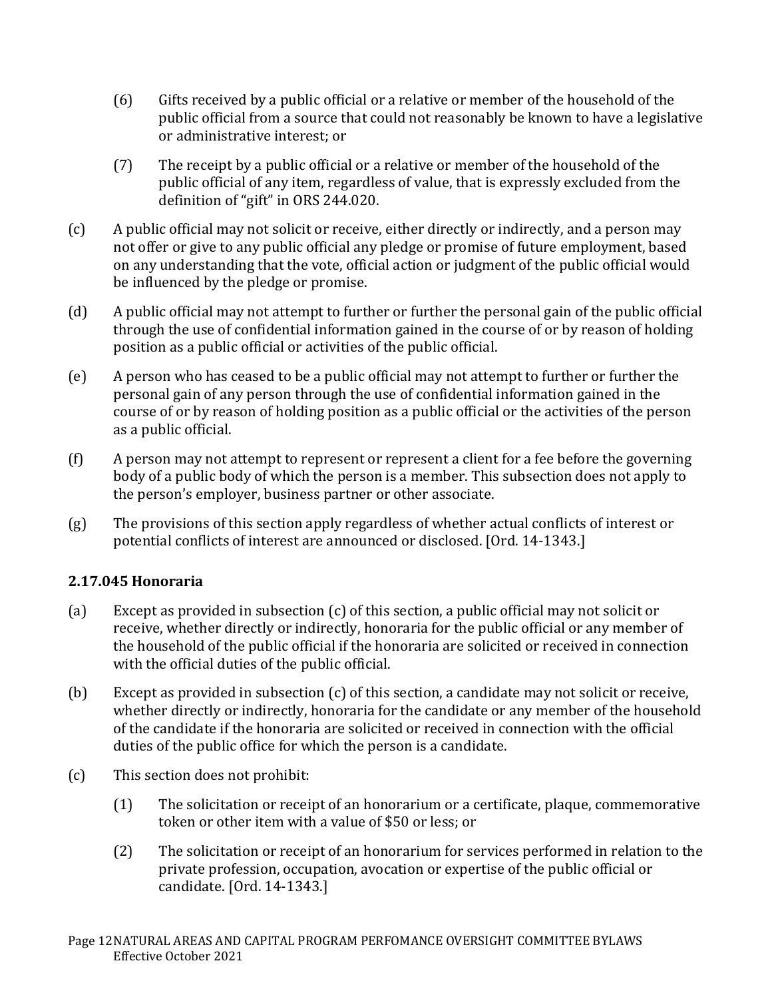- (6) Gifts received by a public official or a relative or member of the household of the public official from a source that could not reasonably be known to have a legislative or administrative interest; or
- (7) The receipt by a public official or a relative or member of the household of the public official of any item, regardless of value, that is expressly excluded from the definition of "gift" in ORS 244.020.
- (c) A public official may not solicit or receive, either directly or indirectly, and a person may not offer or give to any public official any pledge or promise of future employment, based on any understanding that the vote, official action or judgment of the public official would be influenced by the pledge or promise.
- (d) A public official may not attempt to further or further the personal gain of the public official through the use of confidential information gained in the course of or by reason of holding position as a public official or activities of the public official.
- (e) A person who has ceased to be a public official may not attempt to further or further the personal gain of any person through the use of confidential information gained in the course of or by reason of holding position as a public official or the activities of the person as a public official.
- (f) A person may not attempt to represent or represent a client for a fee before the governing body of a public body of which the person is a member. This subsection does not apply to the person's employer, business partner or other associate.
- (g) The provisions of this section apply regardless of whether actual conflicts of interest or potential conflicts of interest are announced or disclosed. [Ord. 14-1343.]

## **2.17.045 Honoraria**

- (a) Except as provided in subsection (c) of this section, a public official may not solicit or receive, whether directly or indirectly, honoraria for the public official or any member of the household of the public official if the honoraria are solicited or received in connection with the official duties of the public official.
- (b) Except as provided in subsection (c) of this section, a candidate may not solicit or receive, whether directly or indirectly, honoraria for the candidate or any member of the household of the candidate if the honoraria are solicited or received in connection with the official duties of the public office for which the person is a candidate.
- (c) This section does not prohibit:
	- (1) The solicitation or receipt of an honorarium or a certificate, plaque, commemorative token or other item with a value of \$50 or less; or
	- (2) The solicitation or receipt of an honorarium for services performed in relation to the private profession, occupation, avocation or expertise of the public official or candidate. [Ord. 14-1343.]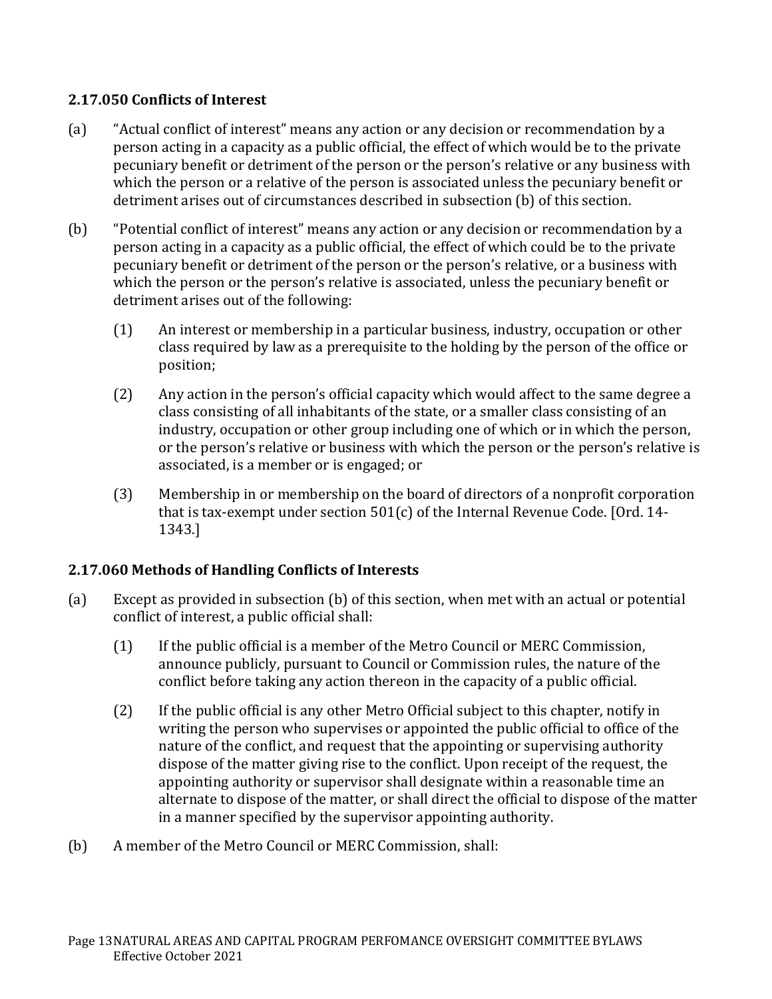## **2.17.050 Conflicts of Interest**

- (a) "Actual conflict of interest" means any action or any decision or recommendation by a person acting in a capacity as a public official, the effect of which would be to the private pecuniary benefit or detriment of the person or the person's relative or any business with which the person or a relative of the person is associated unless the pecuniary benefit or detriment arises out of circumstances described in subsection (b) of this section.
- (b) "Potential conflict of interest" means any action or any decision or recommendation by a person acting in a capacity as a public official, the effect of which could be to the private pecuniary benefit or detriment of the person or the person's relative, or a business with which the person or the person's relative is associated, unless the pecuniary benefit or detriment arises out of the following:
	- (1) An interest or membership in a particular business, industry, occupation or other class required by law as a prerequisite to the holding by the person of the office or position;
	- (2) Any action in the person's official capacity which would affect to the same degree a class consisting of all inhabitants of the state, or a smaller class consisting of an industry, occupation or other group including one of which or in which the person, or the person's relative or business with which the person or the person's relative is associated, is a member or is engaged; or
	- (3) Membership in or membership on the board of directors of a nonprofit corporation that is tax-exempt under section 501(c) of the Internal Revenue Code. [Ord. 14- 1343.]

## **2.17.060 Methods of Handling Conflicts of Interests**

- (a) Except as provided in subsection (b) of this section, when met with an actual or potential conflict of interest, a public official shall:
	- (1) If the public official is a member of the Metro Council or MERC Commission, announce publicly, pursuant to Council or Commission rules, the nature of the conflict before taking any action thereon in the capacity of a public official.
	- (2) If the public official is any other Metro Official subject to this chapter, notify in writing the person who supervises or appointed the public official to office of the nature of the conflict, and request that the appointing or supervising authority dispose of the matter giving rise to the conflict. Upon receipt of the request, the appointing authority or supervisor shall designate within a reasonable time an alternate to dispose of the matter, or shall direct the official to dispose of the matter in a manner specified by the supervisor appointing authority.
- (b) A member of the Metro Council or MERC Commission, shall: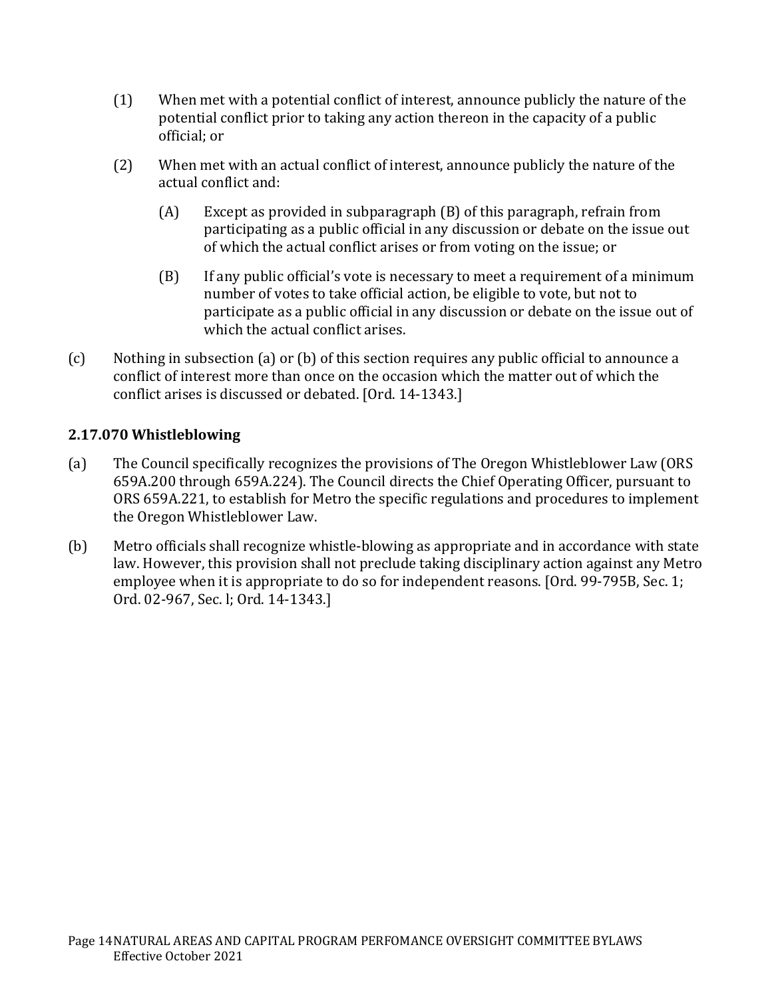- (1) When met with a potential conflict of interest, announce publicly the nature of the potential conflict prior to taking any action thereon in the capacity of a public official; or
- (2) When met with an actual conflict of interest, announce publicly the nature of the actual conflict and:
	- (A) Except as provided in subparagraph (B) of this paragraph, refrain from participating as a public official in any discussion or debate on the issue out of which the actual conflict arises or from voting on the issue; or
	- (B) If any public official's vote is necessary to meet a requirement of a minimum number of votes to take official action, be eligible to vote, but not to participate as a public official in any discussion or debate on the issue out of which the actual conflict arises.
- (c) Nothing in subsection (a) or (b) of this section requires any public official to announce a conflict of interest more than once on the occasion which the matter out of which the conflict arises is discussed or debated. [Ord. 14-1343.]

## **2.17.070 Whistleblowing**

- (a) The Council specifically recognizes the provisions of The Oregon Whistleblower Law (ORS 659A.200 through 659A.224). The Council directs the Chief Operating Officer, pursuant to ORS 659A.221, to establish for Metro the specific regulations and procedures to implement the Oregon Whistleblower Law.
- (b) Metro officials shall recognize whistle-blowing as appropriate and in accordance with state law. However, this provision shall not preclude taking disciplinary action against any Metro employee when it is appropriate to do so for independent reasons. [Ord. 99-795B, Sec. 1; Ord. 02-967, Sec. l; Ord. 14-1343.]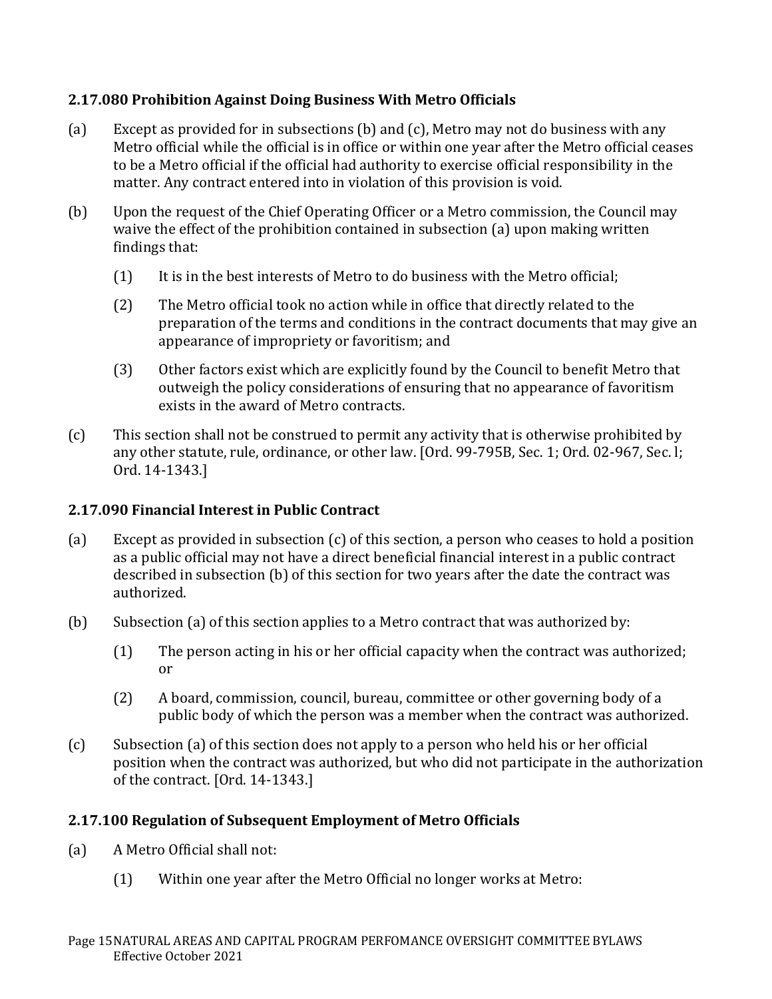## **2.17.080 Prohibition Against Doing Business With Metro Officials**

- (a) Except as provided for in subsections (b) and (c), Metro may not do business with any Metro official while the official is in office or within one year after the Metro official ceases to be a Metro official if the official had authority to exercise official responsibility in the matter. Any contract entered into in violation of this provision is void.
- (b) Upon the request of the Chief Operating Officer or a Metro commission, the Council may waive the effect of the prohibition contained in subsection (a) upon making written findings that:
	- (1) It is in the best interests of Metro to do business with the Metro official;
	- (2) The Metro official took no action while in office that directly related to the preparation of the terms and conditions in the contract documents that may give an appearance of impropriety or favoritism; and
	- (3) Other factors exist which are explicitly found by the Council to benefit Metro that outweigh the policy considerations of ensuring that no appearance of favoritism exists in the award of Metro contracts.
- (c) This section shall not be construed to permit any activity that is otherwise prohibited by any other statute, rule, ordinance, or other law. [Ord. 99-795B, Sec. 1; Ord. 02-967, Sec. l; Ord. 14-1343.]

## **2.17.090 Financial Interest in Public Contract**

- (a) Except as provided in subsection (c) of this section, a person who ceases to hold a position as a public official may not have a direct beneficial financial interest in a public contract described in subsection (b) of this section for two years after the date the contract was authorized.
- (b) Subsection (a) of this section applies to a Metro contract that was authorized by:
	- (1) The person acting in his or her official capacity when the contract was authorized; or
	- (2) A board, commission, council, bureau, committee or other governing body of a public body of which the person was a member when the contract was authorized.
- (c) Subsection (a) of this section does not apply to a person who held his or her official position when the contract was authorized, but who did not participate in the authorization of the contract. [Ord. 14-1343.]

### **2.17.100 Regulation of Subsequent Employment of Metro Officials**

- (a) A Metro Official shall not:
	- (1) Within one year after the Metro Official no longer works at Metro: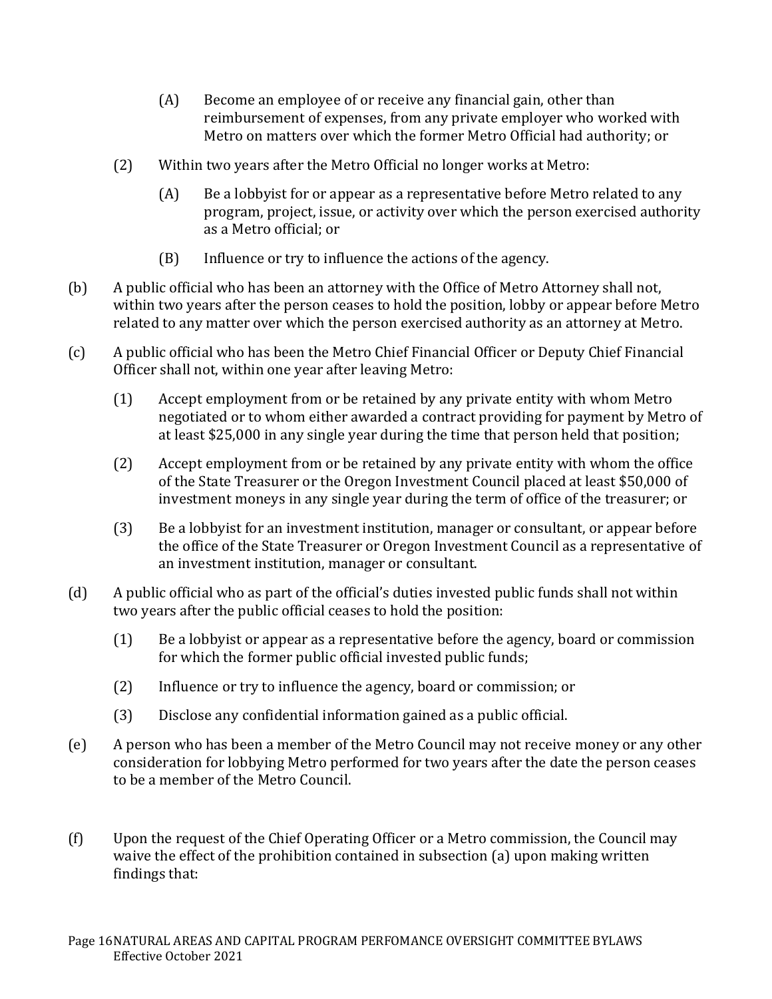- (A) Become an employee of or receive any financial gain, other than reimbursement of expenses, from any private employer who worked with Metro on matters over which the former Metro Official had authority; or
- (2) Within two years after the Metro Official no longer works at Metro:
	- (A) Be a lobbyist for or appear as a representative before Metro related to any program, project, issue, or activity over which the person exercised authority as a Metro official; or
	- (B) Influence or try to influence the actions of the agency.
- (b) A public official who has been an attorney with the Office of Metro Attorney shall not, within two years after the person ceases to hold the position, lobby or appear before Metro related to any matter over which the person exercised authority as an attorney at Metro.
- (c) A public official who has been the Metro Chief Financial Officer or Deputy Chief Financial Officer shall not, within one year after leaving Metro:
	- (1) Accept employment from or be retained by any private entity with whom Metro negotiated or to whom either awarded a contract providing for payment by Metro of at least \$25,000 in any single year during the time that person held that position;
	- (2) Accept employment from or be retained by any private entity with whom the office of the State Treasurer or the Oregon Investment Council placed at least \$50,000 of investment moneys in any single year during the term of office of the treasurer; or
	- (3) Be a lobbyist for an investment institution, manager or consultant, or appear before the office of the State Treasurer or Oregon Investment Council as a representative of an investment institution, manager or consultant.
- (d) A public official who as part of the official's duties invested public funds shall not within two years after the public official ceases to hold the position:
	- (1) Be a lobbyist or appear as a representative before the agency, board or commission for which the former public official invested public funds;
	- (2) Influence or try to influence the agency, board or commission; or
	- (3) Disclose any confidential information gained as a public official.
- (e) A person who has been a member of the Metro Council may not receive money or any other consideration for lobbying Metro performed for two years after the date the person ceases to be a member of the Metro Council.
- (f) Upon the request of the Chief Operating Officer or a Metro commission, the Council may waive the effect of the prohibition contained in subsection (a) upon making written findings that: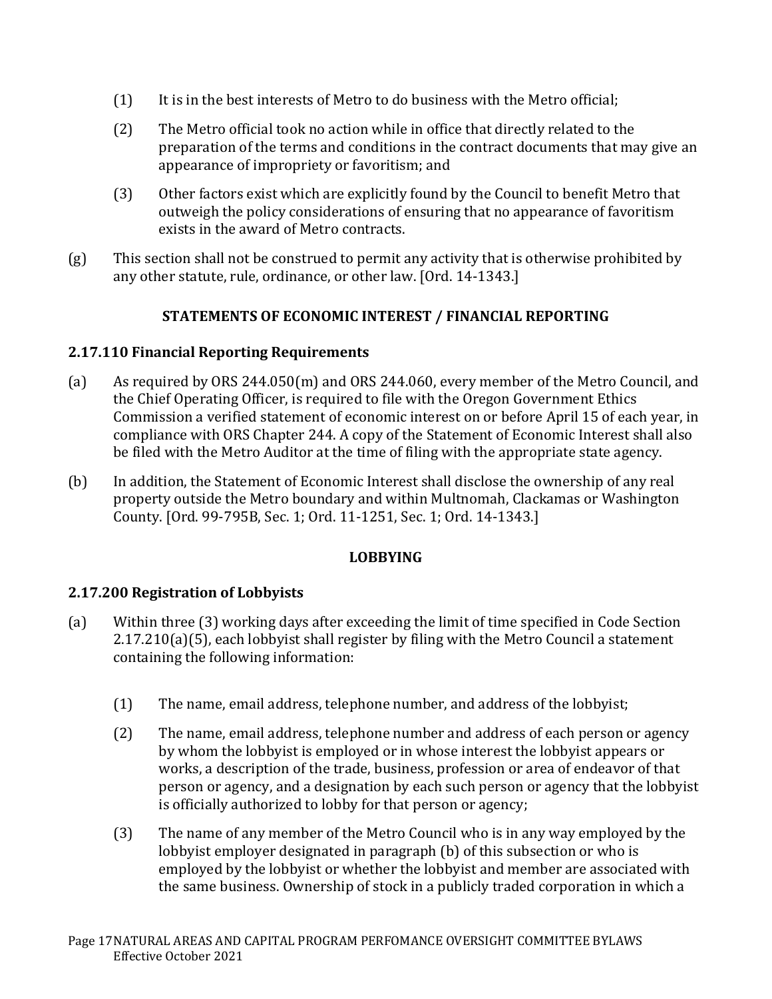- (1) It is in the best interests of Metro to do business with the Metro official;
- (2) The Metro official took no action while in office that directly related to the preparation of the terms and conditions in the contract documents that may give an appearance of impropriety or favoritism; and
- (3) Other factors exist which are explicitly found by the Council to benefit Metro that outweigh the policy considerations of ensuring that no appearance of favoritism exists in the award of Metro contracts.
- (g) This section shall not be construed to permit any activity that is otherwise prohibited by any other statute, rule, ordinance, or other law. [Ord. 14-1343.]

## **STATEMENTS OF ECONOMIC INTEREST / FINANCIAL REPORTING**

## **2.17.110 Financial Reporting Requirements**

- (a) As required by ORS 244.050(m) and ORS 244.060, every member of the Metro Council, and the Chief Operating Officer, is required to file with the Oregon Government Ethics Commission a verified statement of economic interest on or before April 15 of each year, in compliance with ORS Chapter 244. A copy of the Statement of Economic Interest shall also be filed with the Metro Auditor at the time of filing with the appropriate state agency.
- (b) In addition, the Statement of Economic Interest shall disclose the ownership of any real property outside the Metro boundary and within Multnomah, Clackamas or Washington County. [Ord. 99-795B, Sec. 1; Ord. 11-1251, Sec. 1; Ord. 14-1343.]

### **LOBBYING**

## **2.17.200 Registration of Lobbyists**

- (a) Within three (3) working days after exceeding the limit of time specified in Code Section 2.17.210(a)(5), each lobbyist shall register by filing with the Metro Council a statement containing the following information:
	- (1) The name, email address, telephone number, and address of the lobbyist;
	- (2) The name, email address, telephone number and address of each person or agency by whom the lobbyist is employed or in whose interest the lobbyist appears or works, a description of the trade, business, profession or area of endeavor of that person or agency, and a designation by each such person or agency that the lobbyist is officially authorized to lobby for that person or agency;
	- (3) The name of any member of the Metro Council who is in any way employed by the lobbyist employer designated in paragraph (b) of this subsection or who is employed by the lobbyist or whether the lobbyist and member are associated with the same business. Ownership of stock in a publicly traded corporation in which a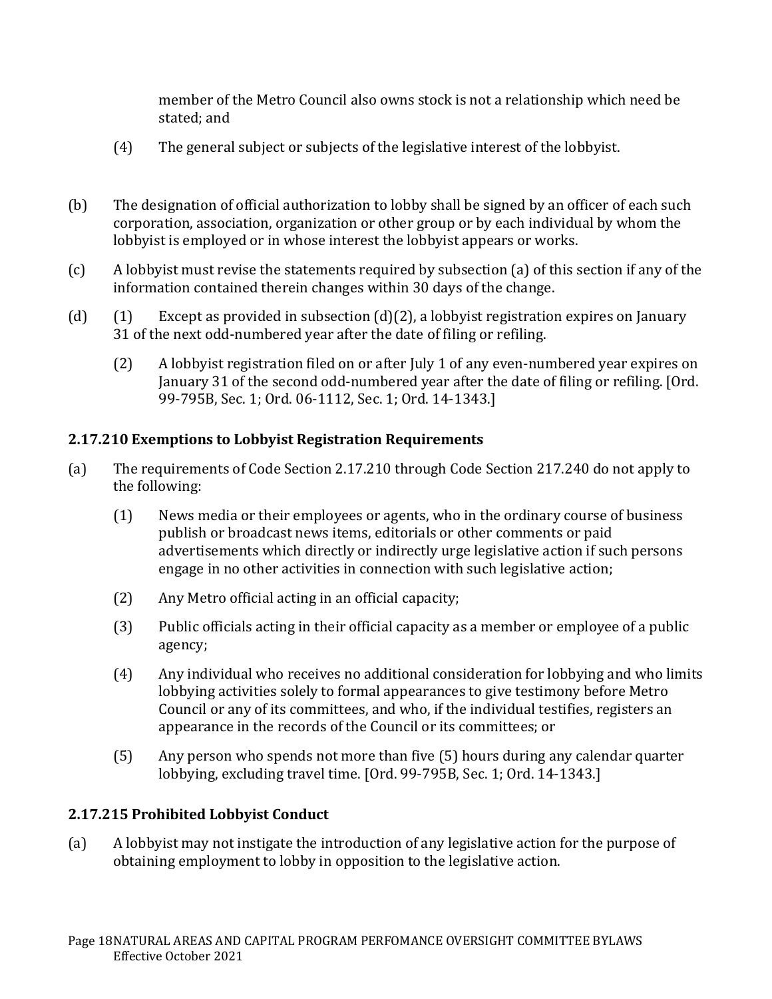member of the Metro Council also owns stock is not a relationship which need be stated; and

- (4) The general subject or subjects of the legislative interest of the lobbyist.
- (b) The designation of official authorization to lobby shall be signed by an officer of each such corporation, association, organization or other group or by each individual by whom the lobbyist is employed or in whose interest the lobbyist appears or works.
- (c) A lobbyist must revise the statements required by subsection (a) of this section if any of the information contained therein changes within 30 days of the change.
- (d) (1) Except as provided in subsection (d)(2), a lobbyist registration expires on January 31 of the next odd-numbered year after the date of filing or refiling.
	- (2) A lobbyist registration filed on or after July 1 of any even-numbered year expires on January 31 of the second odd-numbered year after the date of filing or refiling. [Ord. 99-795B, Sec. 1; Ord. 06-1112, Sec. 1; Ord. 14-1343.]

## **2.17.210 Exemptions to Lobbyist Registration Requirements**

- (a) The requirements of Code Section 2.17.210 through Code Section 217.240 do not apply to the following:
	- (1) News media or their employees or agents, who in the ordinary course of business publish or broadcast news items, editorials or other comments or paid advertisements which directly or indirectly urge legislative action if such persons engage in no other activities in connection with such legislative action;
	- (2) Any Metro official acting in an official capacity;
	- (3) Public officials acting in their official capacity as a member or employee of a public agency;
	- (4) Any individual who receives no additional consideration for lobbying and who limits lobbying activities solely to formal appearances to give testimony before Metro Council or any of its committees, and who, if the individual testifies, registers an appearance in the records of the Council or its committees; or
	- (5) Any person who spends not more than five (5) hours during any calendar quarter lobbying, excluding travel time. [Ord. 99-795B, Sec. 1; Ord. 14-1343.]

## **2.17.215 Prohibited Lobbyist Conduct**

(a) A lobbyist may not instigate the introduction of any legislative action for the purpose of obtaining employment to lobby in opposition to the legislative action.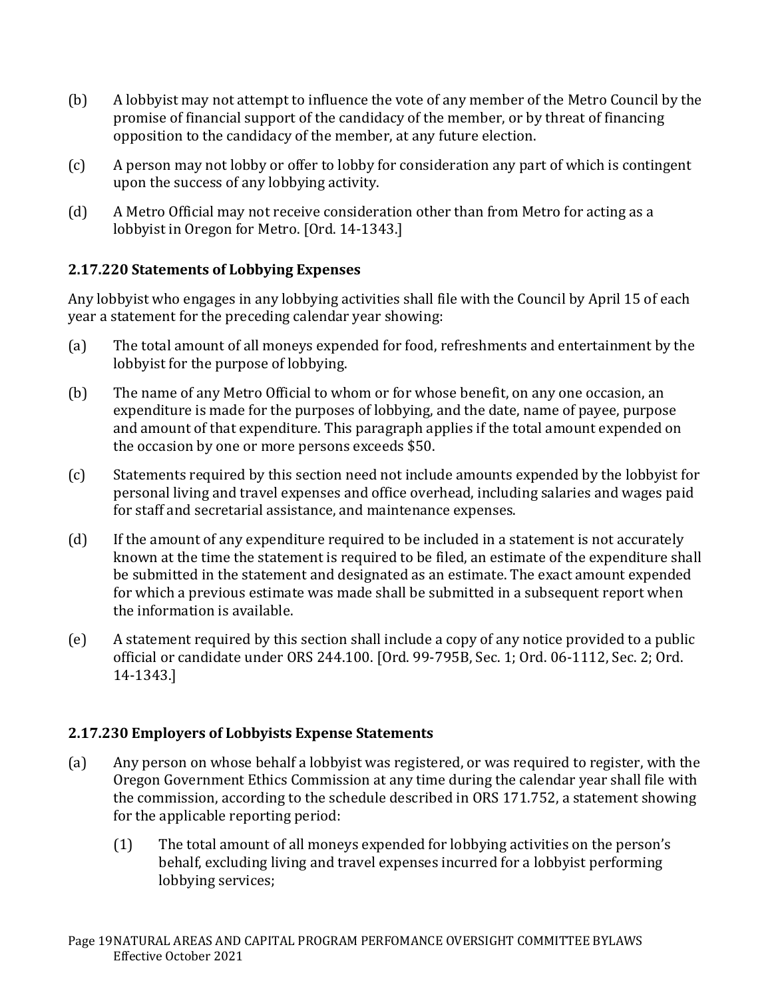- (b) A lobbyist may not attempt to influence the vote of any member of the Metro Council by the promise of financial support of the candidacy of the member, or by threat of financing opposition to the candidacy of the member, at any future election.
- (c) A person may not lobby or offer to lobby for consideration any part of which is contingent upon the success of any lobbying activity.
- (d) A Metro Official may not receive consideration other than from Metro for acting as a lobbyist in Oregon for Metro. [Ord. 14-1343.]

## **2.17.220 Statements of Lobbying Expenses**

Any lobbyist who engages in any lobbying activities shall file with the Council by April 15 of each year a statement for the preceding calendar year showing:

- (a) The total amount of all moneys expended for food, refreshments and entertainment by the lobbyist for the purpose of lobbying.
- (b) The name of any Metro Official to whom or for whose benefit, on any one occasion, an expenditure is made for the purposes of lobbying, and the date, name of payee, purpose and amount of that expenditure. This paragraph applies if the total amount expended on the occasion by one or more persons exceeds \$50.
- (c) Statements required by this section need not include amounts expended by the lobbyist for personal living and travel expenses and office overhead, including salaries and wages paid for staff and secretarial assistance, and maintenance expenses.
- (d) If the amount of any expenditure required to be included in a statement is not accurately known at the time the statement is required to be filed, an estimate of the expenditure shall be submitted in the statement and designated as an estimate. The exact amount expended for which a previous estimate was made shall be submitted in a subsequent report when the information is available.
- (e) A statement required by this section shall include a copy of any notice provided to a public official or candidate under ORS 244.100. [Ord. 99-795B, Sec. 1; Ord. 06-1112, Sec. 2; Ord. 14-1343.]

## **2.17.230 Employers of Lobbyists Expense Statements**

- (a) Any person on whose behalf a lobbyist was registered, or was required to register, with the Oregon Government Ethics Commission at any time during the calendar year shall file with the commission, according to the schedule described in ORS 171.752, a statement showing for the applicable reporting period:
	- (1) The total amount of all moneys expended for lobbying activities on the person's behalf, excluding living and travel expenses incurred for a lobbyist performing lobbying services;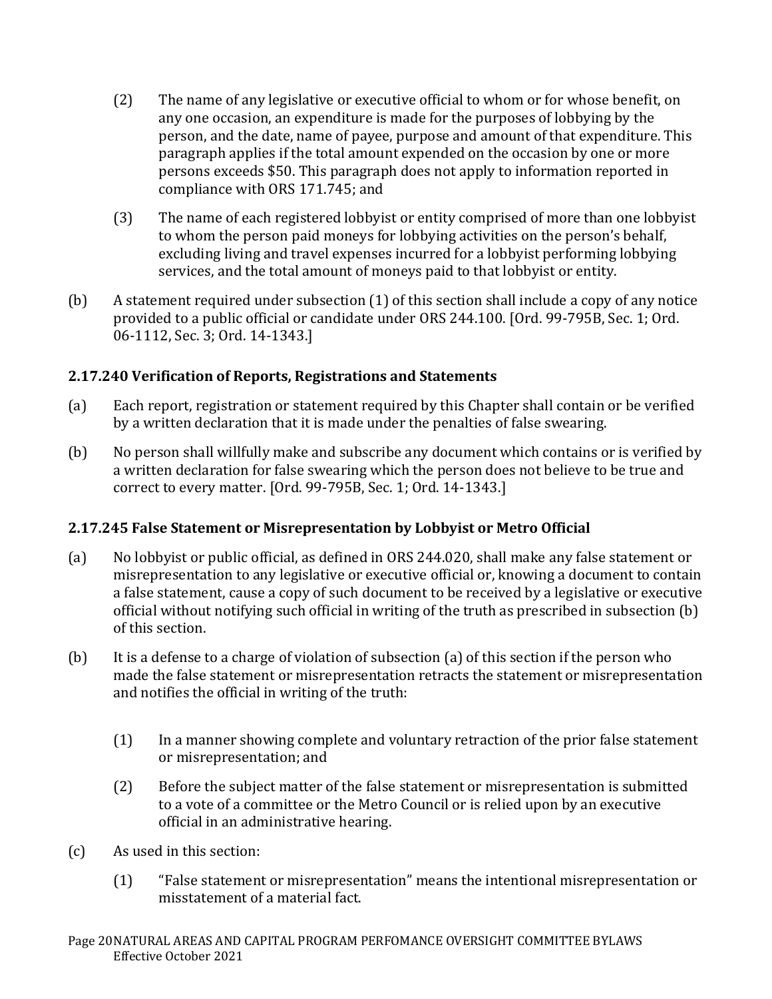- (2) The name of any legislative or executive official to whom or for whose benefit, on any one occasion, an expenditure is made for the purposes of lobbying by the person, and the date, name of payee, purpose and amount of that expenditure. This paragraph applies if the total amount expended on the occasion by one or more persons exceeds \$50. This paragraph does not apply to information reported in compliance with ORS 171.745; and
- (3) The name of each registered lobbyist or entity comprised of more than one lobbyist to whom the person paid moneys for lobbying activities on the person's behalf, excluding living and travel expenses incurred for a lobbyist performing lobbying services, and the total amount of moneys paid to that lobbyist or entity.
- (b) A statement required under subsection (1) of this section shall include a copy of any notice provided to a public official or candidate under ORS 244.100. [Ord. 99-795B, Sec. 1; Ord. 06-1112, Sec. 3; Ord. 14-1343.]

## **2.17.240 Verification of Reports, Registrations and Statements**

- (a) Each report, registration or statement required by this Chapter shall contain or be verified by a written declaration that it is made under the penalties of false swearing.
- (b) No person shall willfully make and subscribe any document which contains or is verified by a written declaration for false swearing which the person does not believe to be true and correct to every matter. [Ord. 99-795B, Sec. 1; Ord. 14-1343.]

## **2.17.245 False Statement or Misrepresentation by Lobbyist or Metro Official**

- (a) No lobbyist or public official, as defined in ORS 244.020, shall make any false statement or misrepresentation to any legislative or executive official or, knowing a document to contain a false statement, cause a copy of such document to be received by a legislative or executive official without notifying such official in writing of the truth as prescribed in subsection (b) of this section.
- (b) It is a defense to a charge of violation of subsection (a) of this section if the person who made the false statement or misrepresentation retracts the statement or misrepresentation and notifies the official in writing of the truth:
	- (1) In a manner showing complete and voluntary retraction of the prior false statement or misrepresentation; and
	- (2) Before the subject matter of the false statement or misrepresentation is submitted to a vote of a committee or the Metro Council or is relied upon by an executive official in an administrative hearing.
- (c) As used in this section:
	- (1) "False statement or misrepresentation" means the intentional misrepresentation or misstatement of a material fact.

Page 20NATURAL AREAS AND CAPITAL PROGRAM PERFOMANCE OVERSIGHT COMMITTEE BYLAWS Effective October 2021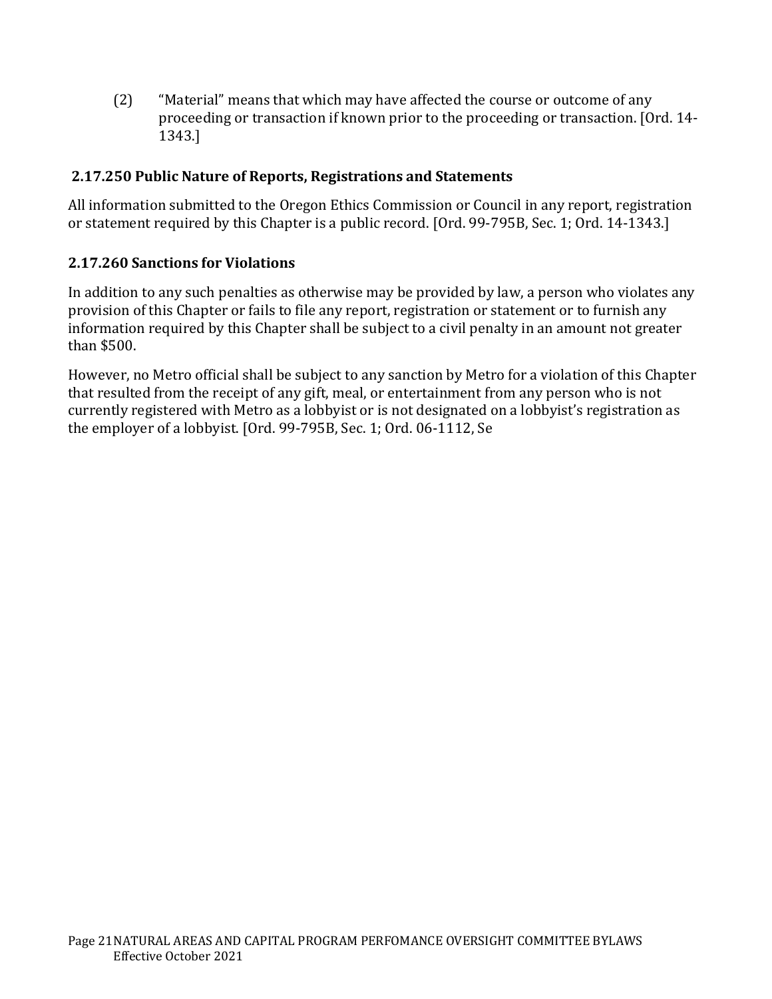(2) "Material" means that which may have affected the course or outcome of any proceeding or transaction if known prior to the proceeding or transaction. [Ord. 14- 1343.]

## **2.17.250 Public Nature of Reports, Registrations and Statements**

All information submitted to the Oregon Ethics Commission or Council in any report, registration or statement required by this Chapter is a public record. [Ord. 99-795B, Sec. 1; Ord. 14-1343.]

## **2.17.260 Sanctions for Violations**

In addition to any such penalties as otherwise may be provided by law, a person who violates any provision of this Chapter or fails to file any report, registration or statement or to furnish any information required by this Chapter shall be subject to a civil penalty in an amount not greater than \$500.

However, no Metro official shall be subject to any sanction by Metro for a violation of this Chapter that resulted from the receipt of any gift, meal, or entertainment from any person who is not currently registered with Metro as a lobbyist or is not designated on a lobbyist's registration as the employer of a lobbyist. [Ord. 99-795B, Sec. 1; Ord. 06-1112, Se